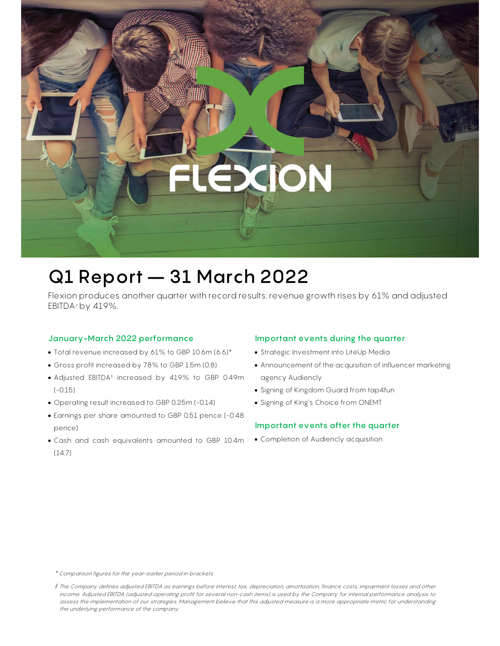# ON

# Q1 Report – 31 March 2022

Flexion produces another quarter with record results: revenue growth rises by 61% and adjusted EBITDA $*$  by 419%.

# January-March 2022 performance

- Total revenue increased by 61% to GBP 10.6m (6.6)\*
- Gross profit increased by 78% to GBP 1.5m (0.8)
- Adjusted EBITDA‡ increased by 419% to GBP 0.49m (-0.15)
- Operating result increased to GBP 0.25m (-0.14)
- Earnings per share amounted to GBP 0.51 pence (-0.48 pence)
- Cash and cash equivalents amounted to GBP 10.4m (14.7)

### Important events during the quarter

- Strategic Investment into LiteUp Media
- Announcement of the acquisition of influencer marketing agency Audiencly

Flexion Mobile Plc – Q1 Report 31 March 2022 / Page | 1

- Signing of Kingdom Guard from tap4fun
- Signing of King's Choice from ONEMT

### Important events after the quarter

Completion of Audiencly acquisition

\* Comparison figures for the year-earlier period in brackets

<sup>‡</sup> The Company defines adjusted EBITDA as earnings before interest, tax, depreciation, amortisation, finance costs, impairment losses and other income. Adjusted EBITDA (adjusted operating profit for several non-cash items) is used by the Company for internal performance analysis to assess the implementation of our strategies. Management believe that this adjusted measure is a more appropriate metric for understanding the underlying performance of the company.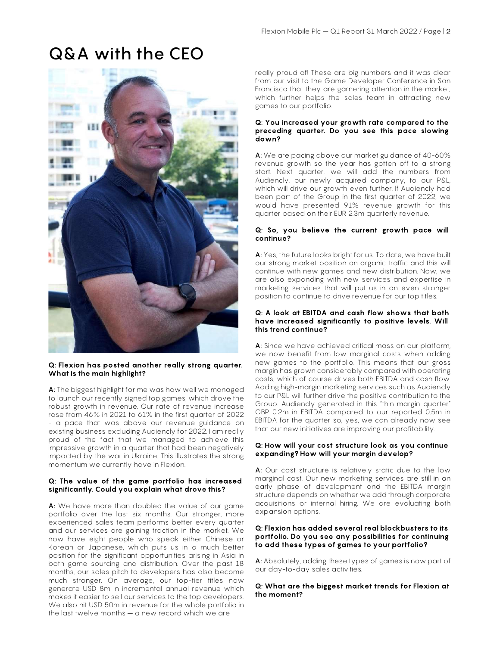# Q&A with the CEO



#### Q: Flexion has posted another really strong quarter. What is the main highlight?

A: The biggest highlight for me was how well we managed to launch our recently signed top games, which drove the robust growth in revenue. Our rate of revenue increase rose from 46% in 2021 to 61% in the first quarter of 2022 - a pace that was above our revenue guidance on existing business excluding Audiencly for 2022. I am really proud of the fact that we managed to achieve this impressive growth in a quarter that had been negatively impacted by the war in Ukraine. This illustrates the strong momentum we currently have in Flexion.

#### Q: The value of the game portfolio has increased significantly. Could you explain what drove this?

A: We have more than doubled the value of our game portfolio over the last six months. Our stronger, more experienced sales team performs better every quarter and our services are gaining traction in the market. We now have eight people who speak either Chinese or Korean or Japanese, which puts us in a much better position for the significant opportunities arising in Asia in both game sourcing and distribution. Over the past 18 months, our sales pitch to developers has also become much stronger. On average, our top-tier titles now generate USD 8m in incremental annual revenue which makes it easier to sell our services to the top developers. We also hit USD 50m in revenue for the whole portfolio in the last twelve months – a new record which we are

really proud of! These are big numbers and it was clear from our visit to the Game Developer Conference in San Francisco that they are garnering attention in the market, which further helps the sales team in attracting new games to our portfolio.

#### Q: You increased your growth rate compared to the preceding quarter. Do you see this pace slowing down?

A: We are pacing above our market guidance of 40-60% revenue growth so the year has gotten off to a strong start. Next quarter, we will add the numbers from Audiencly, our newly acquired company, to our P&L, which will drive our growth even further. If Audiencly had been part of the Group in the first quarter of 2022, we would have presented 91% revenue growth for this quarter based on their EUR 2.3m quarterly revenue.

#### Q: So, you believe the current growth pace will continue?

A: Yes, the future looks bright for us. To date, we have built our strong market position on organic traffic and this will continue with new games and new distribution. Now, we are also expanding with new services and expertise in marketing services that will put us in an even stronger position to continue to drive revenue for our top titles.

#### Q: A look at EBITDA and cash flow shows that both have increased significantly to positive levels. Will this trend continue?

A: Since we have achieved critical mass on our platform, we now benefit from low marginal costs when adding new games to the portfolio. This means that our gross margin has grown considerably compared with operating costs, which of course drives both EBITDA and cash flow. Adding high-margin marketing services such as Audiencly to our P&L will further drive the positive contribution to the Group. Audiencly generated in this "thin margin quarter" GBP 0.2m in EBITDA compared to our reported 0.5m in EBITDA for the quarter so, yes, we can already now see that our new initiatives are improving our profitability.

#### Q: How will your cost structure look as you continue expanding? How will your margin develop?

A: Our cost structure is relatively static due to the low marginal cost. Our new marketing services are still in an early phase of development and the EBITDA margin structure depends on whether we add through corporate acquisitions or internal hiring. We are evaluating both expansion options.

#### Q: Flexion has added several real blockbusters to its portfolio. Do you see any possibilities for continuing to add these types of games to your portfolio?

A: Absolutely, adding these types of games is now part of our day-to-day sales activities.

Q: What are the biggest market trends for Flexion at the moment?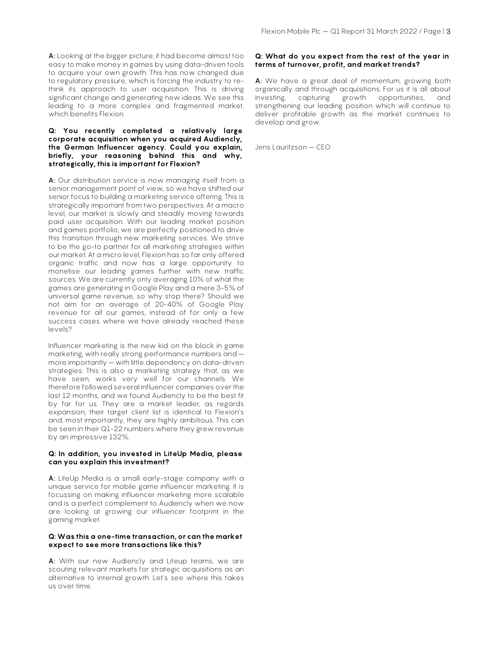A: Looking at the bigger picture, it had become almost too easy to make money in games by using data-driven tools to acquire your own growth. This has now changed due to regulatory pressure, which is forcing the industry to rethink its approach to user acquisition. This is driving significant change and generating new ideas. We see this leading to a more complex and fragmented market, which benefits Flexion.

#### Q: You recently completed a relatively large corporate acquisition when you acquired Audiencly, the German Influencer agency. Could you explain, briefly, your reasoning behind this and why, strategically, this is important for Flexion?

A: Our distribution service is now managing itself from a senior management point of view, so we have shifted our senior focus to building a marketing service offering. This is strategically important from two perspectives. At a macro level, our market is slowly and steadily moving towards paid user acquisition. With our leading market position and games portfolio, we are perfectly positioned to drive this transition through new marketing services. We strive to be the go-to partner for all marketing strategies within our market. At a micro level, Flexion has so far only offered organic traffic and now has a large opportunity to monetise our leading games further with new traffic sources. We are currently only averaging 10% of what the games are generating in Google Play and a mere 3-5% of universal game revenue, so why stop there? Should we not aim for an average of 20-40% of Google Play revenue for all our games, instead of for only a few success cases where we have already reached these levels?

Influencer marketing is the new kid on the block in game marketing, with really strong performance numbers and – more importantly – with little dependency on data-driven strategies. This is also a marketing strategy that, as we have seen, works very well for our channels. We therefore followed several influencer companies over the last 12 months, and we found Audiencly to be the best fit by far for us. They are a market leader; as regards expansion, their target client list is identical to Flexion's and, most importantly, they are highly ambitious. This can be seen in their Q1-22 numbers where they grew revenue by an impressive 132%.

#### Q: In addition, you invested in LiteUp Media, please can you explain this investment?

A: LiteUp Media is a small early-stage company with a unique service for mobile game influencer marketing. It is focussing on making influencer marketing more scalable and is a perfect complement to Audiencly when we now are looking at growing our influencer footprint in the gaming market.

#### Q: Was this a one-time transaction, or can the market expect to see more transactions like this?

A: With our new Audiencly and Liteup teams, we are scouting relevant markets for strategic acquisitions as an alternative to internal growth. Let's see where this takes us over time.

#### Q: What do you expect from the rest of the year in terms of turnover, profit, and market trends?

A: We have a great deal of momentum, growing both organically and through acquisitions. For us it is all about investing, capturing growth opportunities, and strengthening our leading position which will continue to deliver profitable growth as the market continues to develop and grow.

Jens Lauritzson – CEO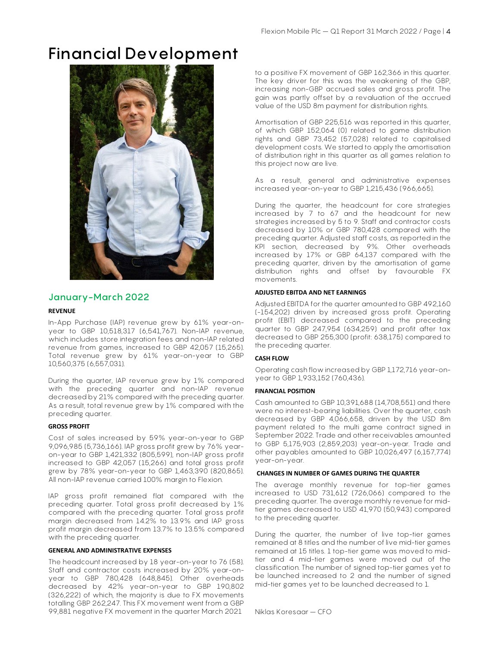# Financial Development



## January-March 2022

#### REVENUE

In-App Purchase (IAP) revenue grew by 61% year-onyear to GBP 10,518,317 (6,541,767). Non-IAP revenue, which includes store integration fees and non-IAP related revenue from games, increased to GBP 42,057 (15,265). Total revenue grew by 61% year-on-year to GBP 10,560,375 (6,557,031).

During the quarter, IAP revenue grew by 1% compared with the preceding quarter and non-IAP revenue decreased by 21% compared with the preceding quarter. As a result, total revenue grew by 1% compared with the preceding quarter.

#### GROSS PROFIT

Cost of sales increased by 59% year-on-year to GBP 9,096,985 (5,736,166). IAP gross profit grew by 76% yearon-year to GBP 1,421,332 (805,599), non-IAP gross profit increased to GBP 42,057 (15,266) and total gross profit grew by 78% year-on-year to GBP 1,463,390 (820,865). All non-IAP revenue carried 100% margin to Flexion.

IAP gross profit remained flat compared with the preceding quarter. Total gross profit decreased by 1% compared with the preceding quarter. Total gross profit margin decreased from 14.2% to 13.9% and IAP gross profit margin decreased from 13.7% to 13.5% compared with the preceding quarter.

#### GENERAL AND ADMINISTRATIVE EXPENSES

The headcount increased by 18 year-on-year to 76 (58). Staff and contractor costs increased by 20% year-onyear to GBP 780,428 (648,845). Other overheads decreased by 42% year-on-year to GBP 190,802 (326,222) of which, the majority is due to FX movements totalling GBP 262,247. This FX movement went from a GBP 99,881 negative FX movement in the quarter March 2021

to a positive FX movement of GBP 162,366 in this quarter. The key driver for this was the weakening of the GBP, increasing non-GBP accrued sales and gross profit. The gain was partly offset by a revaluation of the accrued value of the USD 8m payment for distribution rights.

Amortisation of GBP 225,516 was reported in this quarter, of which GBP 152,064 (0) related to game distribution rights and GBP 73,452 (57,028) related to capitalised development costs. We started to apply the amortisation of distribution right in this quarter as all games relation to this project now are live.

As a result, general and administrative expenses increased year-on-year to GBP 1,215,436 (966,665).

During the quarter, the headcount for core strategies increased by 7 to 67 and the headcount for new strategies increased by 5 to 9. Staff and contractor costs decreased by 10% or GBP 780,428 compared with the preceding quarter. Adjusted staff costs, as reported in the KPI section, decreased by 9%. Other overheads increased by 17% or GBP 64,137 compared with the preceding quarter, driven by the amortisation of game distribution rights and offset by favourable FX movements.

#### ADJUSTED EBITDA AND NET EARNINGS

Adjusted EBITDA for the quarter amounted to GBP 492,160 (-154,202) driven by increased gross profit. Operating profit (EBIT) decreased compared to the preceding quarter to GBP 247,954 (634,259) and profit after tax decreased to GBP 255,300 (profit: 638,175) compared to the preceding quarter.

#### CASH FLOW

Operating cash flow increased by GBP 1,172,716 year-onyear to GBP 1,933,152 (760,436).

#### FINANCIAL POSITION

Cash amounted to GBP 10,391,688 (14,708,551) and there were no interest-bearing liabilities. Over the quarter, cash decreased by GBP 4,066,658, driven by the USD 8m payment related to the multi game contract signed in September 2022. Trade and other receivables amounted to GBP 5,175,903 (2,859,203) year-on-year. Trade and other payables amounted to GBP 10,026,497 (6,157,774) year-on-year.

#### CHANGES IN NUMBER OF GAMES DURING THE QUARTER

The average monthly revenue for top-tier games increased to USD 731,612 (726,066) compared to the preceding quarter. The average monthly revenue for midtier games decreased to USD 41,970 (50,943) compared to the preceding quarter.

During the quarter, the number of live top-tier games remained at 8 titles and the number of live mid-tier games remained at 15 titles. 1 top-tier game was moved to midtier and 4 mid-tier games were moved out of the classification. The number of signed top-tier games yet to be launched increased to 2 and the number of signed mid-tier games yet to be launched decreased to 1.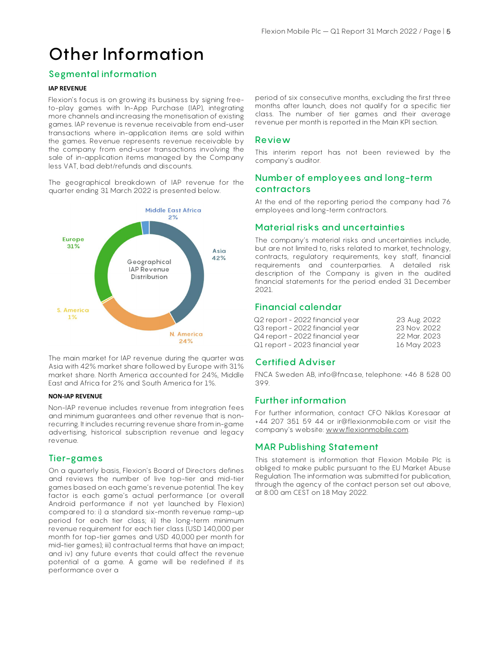# Other Information

# Segmental information

#### IAP REVENUE

Flexion's focus is on growing its business by signing freeto-play games with In-App Purchase (IAP), integrating more channels and increasing the monetisation of existing games. IAP revenue is revenue receivable from end-user transactions where in-application items are sold within the games. Revenue represents revenue receivable by the company from end-user transactions involving the sale of in-application items managed by the Company less VAT, bad debt/refunds and discounts.

The geographical breakdown of IAP revenue for the quarter ending 31 March 2022 is presented below.



The main market for IAP revenue during the quarter was Asia with 42% market share followed by Europe with 31% market share. North America accounted for 24%, Middle East and Africa for 2% and South America for 1%.

#### NON-IAP REVENUE

Non-IAP revenue includes revenue from integration fees and minimum guarantees and other revenue that is nonrecurring. It includes recurring revenue share from in-game advertising, historical subscription revenue and legacy revenue.

#### Tier-games

On a quarterly basis, Flexion's Board of Directors defines and reviews the number of live top-tier and mid-tier games based on each game's revenue potential. The key factor is each game's actual performance (or overall Android performance if not yet launched by Flexion) compared to: i) a standard six-month revenue ramp-up period for each tier class; ii) the long-term minimum revenue requirement for each tier class (USD 140,000 per month for top-tier games and USD 40,000 per month for mid-tier games); iii) contractual terms that have an impact; and iv) any future events that could affect the revenue potential of a game. A game will be redefined if its performance over a

period of six consecutive months, excluding the first three months after launch, does not qualify for a specific tier class. The number of tier games and their average revenue per month is reported in the Main KPI section.

#### Review

This interim report has not been reviewed by the company's auditor.

### Number of employees and long-term contractors

At the end of the reporting period the company had 76 employees and long-term contractors.

#### Material risks and uncertainties

The company's material risks and uncertainties include, but are not limited to, risks related to market, technology, contracts, regulatory requirements, key staff, financial requirements and counterparties. A detailed risk description of the Company is given in the audited financial statements for the period ended 31 December 2021.

### Financial calendar

| Q2 report - 2022 financial year | 23 Aug. 2022 |
|---------------------------------|--------------|
| Q3 report - 2022 financial year | 23 Nov. 2022 |
| Q4 report - 2022 financial year | 22 Mar. 2023 |
| Q1 report - 2023 financial year | 16 May 2023  |

#### Certified Adviser

FNCA Sweden AB, info@fnca.se, telephone: +46 8 528 00 399.

#### Further information

For further information, contact CFO Niklas Koresaar at +44 207 351 59 44 or ir@flexionmobile.com or visit the company's website: www.flexionmobile.com.

#### MAR Publishing Statement

This statement is information that Flexion Mobile Plc is obliged to make public pursuant to the EU Market Abuse Regulation. The information was submitted for publication, through the agency of the contact person set out above, at 8:00 am CEST on 18 May 2022.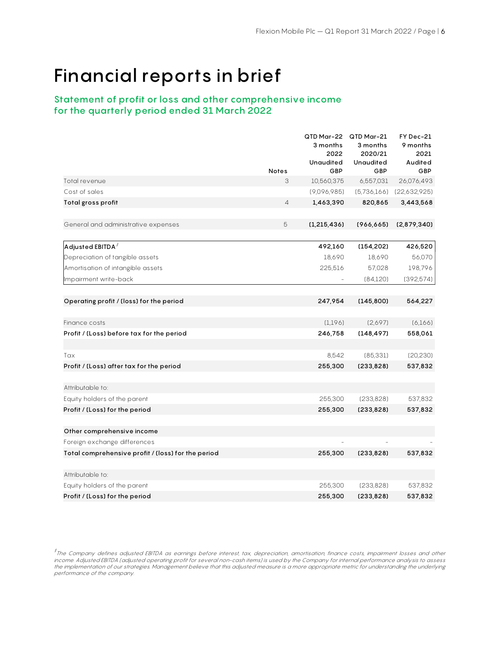# Financial reports in brief

# Statement of profit or loss and other comprehensive income for the quarterly period ended 31 March 2022

|                                                               |              | QTD Mar-22<br>3 months  | QTD Mar-21<br>3 months | FY Dec-21<br>9 months |
|---------------------------------------------------------------|--------------|-------------------------|------------------------|-----------------------|
|                                                               |              | 2022                    | 2020/21                | 2021                  |
|                                                               | <b>Notes</b> | <b>Unaudited</b><br>GBP | Unaudited<br>GBP       | Audited<br>GBP        |
| Total revenue                                                 | 3            | 10,560,375              | 6,557,031              | 26,076,493            |
| Cost of sales                                                 |              | (9,096,985)             | (5,736,166)            | (22,632,925)          |
| Total gross profit                                            | 4            | 1,463,390               | 820,865                | 3,443,568             |
|                                                               |              |                         |                        |                       |
| General and administrative expenses                           | 5            | (1, 215, 436)           | (966, 665)             | (2,879,340)           |
|                                                               |              | 492,160                 | (154, 202)             | 426,520               |
| Adjusted EBITDA $^{\ddag}$<br>Depreciation of tangible assets |              | 18,690                  | 18,690                 | 56,070                |
| Amortisation of intangible assets                             |              | 225,516                 | 57,028                 | 198,796               |
| Impairment write-back                                         |              |                         | (84,120)               | (392, 574)            |
|                                                               |              |                         |                        |                       |
| Operating profit / (loss) for the period                      |              | 247,954                 | (145, 800)             | 564,227               |
| Finance costs                                                 |              | (1,196)                 | (2,697)                | (6, 166)              |
| Profit / (Loss) before tax for the period                     |              | 246,758                 | (148, 497)             | 558,061               |
|                                                               |              |                         |                        |                       |
| Tax                                                           |              | 8,542                   | (85, 331)              | (20, 230)             |
| Profit / (Loss) after tax for the period                      |              | 255,300                 | (233, 828)             | 537,832               |
| Attributable to:                                              |              |                         |                        |                       |
| Equity holders of the parent                                  |              | 255,300                 | (233, 828)             | 537,832               |
| Profit / (Loss) for the period                                |              | 255,300                 | (233, 828)             | 537,832               |
|                                                               |              |                         |                        |                       |
| Other comprehensive income                                    |              |                         |                        |                       |
| Foreign exchange differences                                  |              |                         |                        |                       |
| Total comprehensive profit / (loss) for the period            |              | 255,300                 | (233, 828)             | 537,832               |
|                                                               |              |                         |                        |                       |
| Attributable to:                                              |              |                         |                        |                       |
| Equity holders of the parent                                  |              | 255,300                 | (233, 828)             | 537,832               |
| Profit / (Loss) for the period                                |              | 255,300                 | (233, 828)             | 537,832               |

 $^\ddag$ The Company defines adjusted EBITDA as earnings before interest, tax, depreciation, amortisation, finance costs, impairment losses and other income. Adjusted EBITDA (adjusted operating profit for several non-cash items) is used by the Company for internal performance analysis to assess<br>the implementation of our strategies. Management believe that this adjusted performance of the company.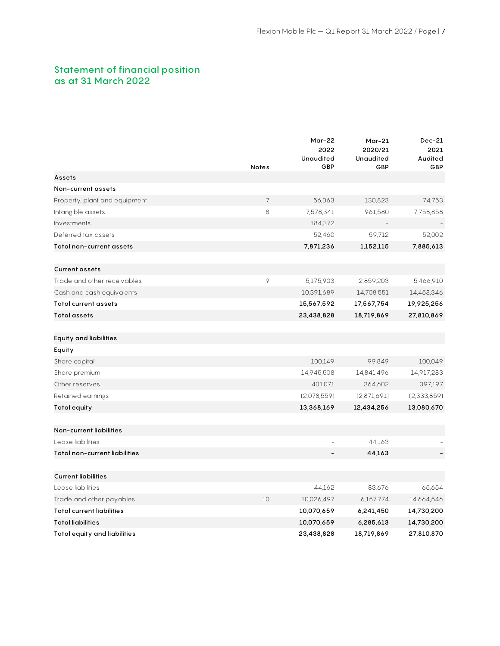# Statement of financial position as at 31 March 2022

|                                     | <b>Notes</b> | Mar-22<br>2022<br><b>Unaudited</b><br>GBP | $Mar-21$<br>2020/21<br>Unaudited<br>GBP | $Dec-21$<br>2021<br>Audited<br>GBP |
|-------------------------------------|--------------|-------------------------------------------|-----------------------------------------|------------------------------------|
| <b>Assets</b>                       |              |                                           |                                         |                                    |
| Non-current assets                  |              |                                           |                                         |                                    |
| Property, plant and equipment       | 7            | 56,063                                    | 130,823                                 | 74,753                             |
| Intangible assets                   | 8            | 7,578,341                                 | 961,580                                 | 7,758,858                          |
| Investments                         |              | 184,372                                   |                                         |                                    |
| Deferred tax assets                 |              | 52,460                                    | 59,712                                  | 52,002                             |
| Total non-current assets            |              | 7,871,236                                 | 1,152,115                               | 7,885,613                          |
| <b>Current assets</b>               |              |                                           |                                         |                                    |
| Trade and other receivables         | 9            | 5,175,903                                 | 2,859,203                               | 5,466,910                          |
| Cash and cash equivalents           |              | 10,391,689                                | 14,708,551                              | 14,458,346                         |
| <b>Total current assets</b>         |              | 15,567,592                                | 17,567,754                              | 19,925,256                         |
| <b>Total assets</b>                 |              | 23,438,828                                | 18,719,869                              | 27,810,869                         |
| Equity and liabilities              |              |                                           |                                         |                                    |
| Equity                              |              |                                           |                                         |                                    |
| Share capital                       |              | 100,149                                   | 99,849                                  | 100,049                            |
| Share premium                       |              | 14,945,508                                | 14,841,496                              | 14,917,283                         |
| Other reserves                      |              | 401,071                                   | 364,602                                 | 397,197                            |
| Retained earnings                   |              | (2,078,559)                               | (2,871,691)                             | (2,333,859)                        |
| Total equity                        |              | 13,368,169                                | 12,434,256                              | 13,080,670                         |
| Non-current liabilities             |              |                                           |                                         |                                    |
| Lease liabilities                   |              |                                           | 44,163                                  |                                    |
| Total non-current liabilities       |              |                                           | 44,163                                  |                                    |
| <b>Current liabilities</b>          |              |                                           |                                         |                                    |
| Lease liabilities                   |              | 44,162                                    | 83,676                                  | 65,654                             |
| Trade and other payables            | 10           | 10,026,497                                | 6,157,774                               | 14,664,546                         |
| <b>Total current liabilities</b>    |              | 10,070,659                                | 6,241,450                               | 14,730,200                         |
| <b>Total liabilities</b>            |              | 10,070,659                                | 6,285,613                               | 14,730,200                         |
| <b>Total equity and liabilities</b> |              | 23,438,828                                | 18,719,869                              | 27,810,870                         |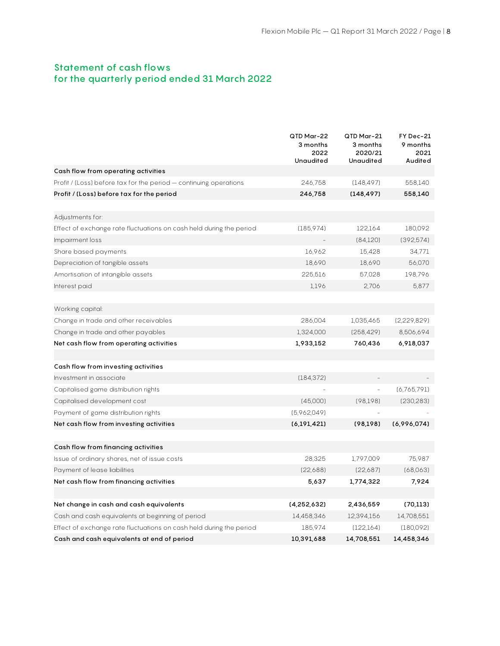# Statement of cash flows for the quarterly period ended 31 March 2022

|                                                                     | QTD Mar-22<br>3 months<br>2022<br><b>Unaudited</b> | QTD Mar-21<br>3 months<br>2020/21<br>Unaudited | FY Dec-21<br>9 months<br>2021<br>Audited |
|---------------------------------------------------------------------|----------------------------------------------------|------------------------------------------------|------------------------------------------|
| Cash flow from operating activities                                 |                                                    |                                                |                                          |
| Profit / (Loss) before tax for the period - continuing operations   | 246,758                                            | (148, 497)                                     | 558,140                                  |
| Profit / (Loss) before tax for the period                           | 246,758                                            | (148, 497)                                     | 558,140                                  |
| Adjustments for:                                                    |                                                    |                                                |                                          |
| Effect of exchange rate fluctuations on cash held during the period | (185, 974)                                         | 122,164                                        | 180,092                                  |
| Impairment loss                                                     |                                                    | (84,120)                                       | (392, 574)                               |
| Share based payments                                                | 16,962                                             | 15,428                                         | 34,771                                   |
| Depreciation of tangible assets                                     | 18,690                                             | 18,690                                         | 56,070                                   |
| Amortisation of intangible assets                                   | 225,516                                            | 57,028                                         | 198,796                                  |
| Interest paid                                                       | 1,196                                              | 2,706                                          | 5,877                                    |
|                                                                     |                                                    |                                                |                                          |
| Working capital:                                                    |                                                    |                                                |                                          |
| Change in trade and other receivables                               | 286,004                                            | 1,035,465                                      | (2,229,829)                              |
| Change in trade and other payables                                  | 1,324,000                                          | (258, 429)                                     | 8,506,694                                |
| Net cash flow from operating activities                             | 1,933,152                                          | 760,436                                        | 6,918,037                                |
|                                                                     |                                                    |                                                |                                          |
| Cash flow from investing activities                                 |                                                    |                                                |                                          |
| Investment in associate                                             | (184, 372)                                         |                                                |                                          |
| Capitalised game distribution rights                                |                                                    |                                                | (6,765,791)                              |
| Capitalised development cost                                        | (45,000)                                           | (98, 198)                                      | (230, 283)                               |
| Payment of game distribution rights                                 | (5,962,049)                                        |                                                |                                          |
| Net cash flow from investing activities                             | (6, 191, 421)                                      | (98, 198)                                      | (6,996,074)                              |
|                                                                     |                                                    |                                                |                                          |
| Cash flow from financing activities                                 |                                                    |                                                |                                          |
| Issue of ordinary shares, net of issue costs                        | 28,325                                             | 1,797,009                                      | 75,987                                   |
| Payment of lease liabilities                                        | (22,688)                                           | (22,687)                                       | (68,063)                                 |
| Net cash flow from financing activities                             | 5,637                                              | 1,774,322                                      | 7,924                                    |
|                                                                     |                                                    |                                                |                                          |
| Net change in cash and cash equivalents                             | (4, 252, 632)                                      | 2,436,559                                      | (70, 113)                                |
| Cash and cash equivalents at beginning of period                    | 14,458,346                                         | 12,394,156                                     | 14,708,551                               |
| Effect of exchange rate fluctuations on cash held during the period | 185,974                                            | (122, 164)                                     | (180,092)                                |
| Cash and cash equivalents at end of period                          | 10,391,688                                         | 14,708,551                                     | 14,458,346                               |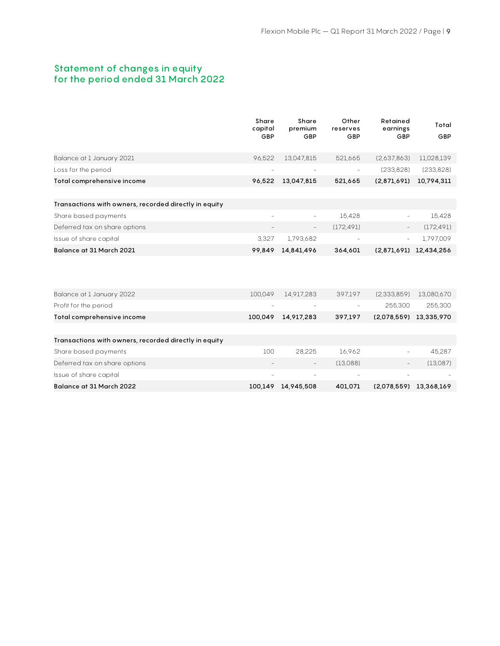# Statement of changes in equity for the period ended 31 March 2022

|                                                       | Share<br>capital<br>GBP | Share<br>premium<br>GBP | Other<br>reserves<br>GBP | Retained<br>earnings<br>GBP | Total<br>GBP           |
|-------------------------------------------------------|-------------------------|-------------------------|--------------------------|-----------------------------|------------------------|
| Balance at 1 January 2021                             | 96,522                  | 13,047,815              | 521,665                  | (2,637,863)                 | 11,028,139             |
| Loss for the period                                   |                         |                         |                          | (233, 828)                  | (233, 828)             |
| Total comprehensive income                            | 96,522                  | 13,047,815              | 521,665                  | (2,871,691)                 | 10,794,311             |
|                                                       |                         |                         |                          |                             |                        |
| Transactions with owners, recorded directly in equity |                         |                         |                          |                             |                        |
| Share based payments                                  | $\overline{a}$          | $\qquad \qquad -$       | 15,428                   |                             | 15,428                 |
| Deferred tax on share options                         |                         |                         | (172, 491)               |                             | (172, 491)             |
| Issue of share capital                                | 3,327                   | 1,793,682               |                          | $\overline{\phantom{a}}$    | 1,797,009              |
| Balance at 31 March 2021                              | 99,849                  | 14,841,496              | 364,601                  |                             | (2,871,691) 12,434,256 |
|                                                       |                         |                         |                          |                             |                        |
| Balance at 1 January 2022                             | 100,049                 | 14,917,283              | 397,197                  | (2,333,859)                 | 13,080,670             |
| Profit for the period                                 |                         |                         |                          | 255,300                     | 255,300                |
| Total comprehensive income                            | 100,049                 | 14,917,283              | 397,197                  | (2,078,559)                 | 13,335,970             |
|                                                       |                         |                         |                          |                             |                        |
| Transactions with owners, recorded directly in equity |                         |                         |                          |                             |                        |
| Share based payments                                  | 100                     | 28,225                  | 16,962                   |                             | 45,287                 |
| Deferred tax on share options                         |                         |                         | (13,088)                 |                             | (13,087)               |
| Issue of share capital                                |                         |                         |                          |                             |                        |
| Balance at 31 March 2022                              | 100,149                 | 14,945,508              | 401,071                  | (2,078,559)                 | 13,368,169             |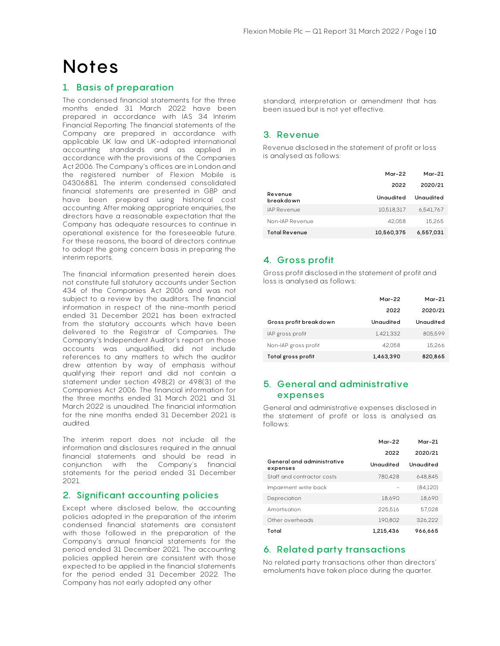# **Notes**

## 1. Basis of preparation

The condensed financial statements for the three months ended 31 March 2022 have been prepared in accordance with IAS 34 Interim Financial Reporting. The financial statements of the Company are prepared in accordance with applicable UK law and UK-adopted international accounting standards and as applied in accordance with the provisions of the Companies Act 2006. The Company's offices are in London and the registered number of Flexion Mobile is 04306881. The interim condensed consolidated financial statements are presented in GBP and have been prepared using historical cost accounting. After making appropriate enquiries, the directors have a reasonable expectation that the Company has adequate resources to continue in operational existence for the foreseeable future. For these reasons, the board of directors continue to adopt the going concern basis in preparing the interim reports.

The financial information presented herein does not constitute full statutory accounts under Section 434 of the Companies Act 2006 and was not subject to a review by the auditors. The financial information in respect of the nine-month period ended 31 December 2021 has been extracted from the statutory accounts which have been delivered to the Registrar of Companies. The Company's Independent Auditor's report on those accounts was unqualified, did not include references to any matters to which the auditor drew attention by way of emphasis without qualifying their report and did not contain a statement under section 498(2) or 498(3) of the Companies Act 2006. The financial information for the three months ended 31 March 2021 and 31 March 2022 is unaudited. The financial information for the nine months ended 31 December 2021 is audited.

The interim report does not include all the information and disclosures required in the annual financial statements and should be read in conjunction with the Company's financial statements for the period ended 31 December 2021.

### 2. Significant accounting policies

Except where disclosed below, the accounting policies adopted in the preparation of the interim condensed financial statements are consistent with those followed in the preparation of the Company's annual financial statements for the period ended 31 December 2021. The accounting policies applied herein are consistent with those expected to be applied in the financial statements for the period ended 31 December 2022. The Company has not early adopted any other

standard, interpretation or amendment that has been issued but is not yet effective.

## 3. Revenue

Revenue disclosed in the statement of profit or loss is analysed as follows:

|                      | Mar-22     | Mar-21    |
|----------------------|------------|-----------|
|                      | 2022       | 2020/21   |
| Revenue<br>breakdown | Unaudited  | Unaudited |
| IAP Revenue          | 10.518.317 | 6.541.767 |
| Non-IAP Revenue      | 42.058     | 15.265    |
| <b>Total Revenue</b> | 10,560,375 | 6,557,031 |

# 4. Gross profit

Gross profit disclosed in the statement of profit and loss is analysed as follows:

|                        | Mar-22    | Mar-21    |
|------------------------|-----------|-----------|
|                        | 2022      | 2020/21   |
| Gross profit breakdown | Unaudited | Unaudited |
| IAP gross profit       | 1,421,332 | 805.599   |
| Non-IAP gross profit   | 42.058    | 15.266    |
| Total gross profit     | 1,463,390 | 820,865   |

# 5. General and administrative expenses

General and administrative expenses disclosed in the statement of profit or loss is analysed as follows:

|                                        | $Mar-22$  | $Mar-21$  |
|----------------------------------------|-----------|-----------|
|                                        | 2022      | 2020/21   |
| General and administrative<br>expenses | Unaudited | Unaudited |
| Staff and contractor costs             | 780.428   | 648.845   |
| Impairment write back                  |           | (84.120)  |
| Depreciation                           | 18.690    | 18.690    |
| Amortisation                           | 225.516   | 57.028    |
| Other overheads                        | 190.802   | 326,222   |
| Total                                  | 1.215.436 | 966.665   |

# 6. Related party transactions

No related party transactions other than directors' emoluments have taken place during the quarter.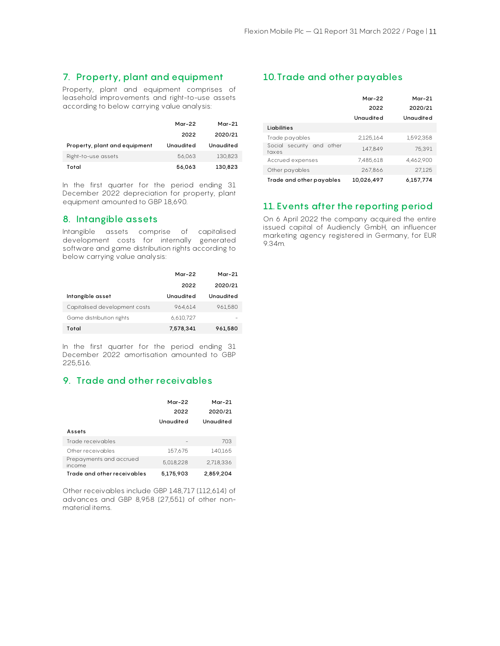# 7. Property, plant and equipment

Property, plant and equipment comprises of leasehold improvements and right-to-use assets according to below carrying value analysis:

|                               | Mar-22    | Mar-21    |
|-------------------------------|-----------|-----------|
|                               | 2022      | 2020/21   |
| Property, plant and equipment | Unaudited | Unaudited |
| Right-to-use assets           | 56.063    | 130,823   |
| Total                         | 56,063    | 130,823   |

In the first quarter for the period ending 31 December 2022 depreciation for property, plant equipment amounted to GBP 18,690.

## 8. Intangible assets

Intangible assets comprise of capitalised development costs for internally generated software and game distribution rights according to below carrying value analysis:

|                               | Mar-22    | Mar-21    |
|-------------------------------|-----------|-----------|
|                               | 2022      | 2020/21   |
| Intangible asset              | Unaudited | Unaudited |
| Capitalised development costs | 964.614   | 961.580   |
| Game distribution rights      | 6.610.727 |           |
| Total                         | 7,578,341 | 961,580   |

In the first quarter for the period ending 31 December 2022 amortisation amounted to GBP 225,516.

## 9. Trade and other receivables

|                                   | $Mar-22$<br>2022<br>Unaudited | $Mar-21$<br>2020/21<br>Unaudited |
|-----------------------------------|-------------------------------|----------------------------------|
| Assets                            |                               |                                  |
| Trade receivables                 |                               | 703                              |
| Other receivables                 | 157,675                       | 140.165                          |
| Prepayments and accrued<br>income | 5.018.228                     | 2.718.336                        |
| Trade and other receivables       | 5,175,903                     | 2,859,204                        |

Other receivables include GBP 148,717 (112,614) of advances and GBP 8,958 (27,551) of other nonmaterial items.

# 10.Trade and other payables

|                                    | $Mar-22$<br>2022<br>Unaudited | $Mar-21$<br>2020/21<br>Unaudited |
|------------------------------------|-------------------------------|----------------------------------|
| <b>Liabilities</b>                 |                               |                                  |
| Trade payables                     | 2.125.164                     | 1.592.358                        |
| Social security and other<br>taxes | 147.849                       | 75.391                           |
| Accrued expenses                   | 7.485.618                     | 4.462.900                        |
| Other payables                     | 267.866                       | 27.125                           |
| Trade and other payables           | 10,026,497                    | 6,157,774                        |

# 11. Events after the reporting period

On 6 April 2022 the company acquired the entire issued capital of Audiencly GmbH, an influencer marketing agency registered in Germany, for EUR 9.34m.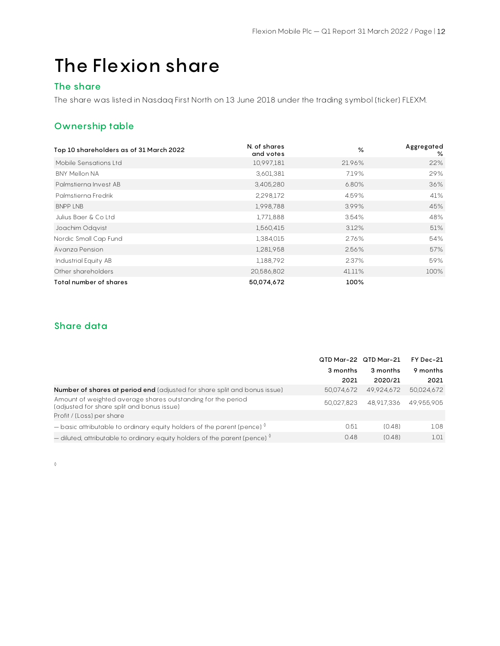# The Flexion share

# The share

The share was listed in Nasdaq First North on 13 June 2018 under the trading symbol (ticker) FLEXM.

# Ownership table

| Top 10 shareholders as of 31 March 2022 | N. of shares<br>and votes | $\frac{6}{6}$ | Aggregated<br>% |
|-----------------------------------------|---------------------------|---------------|-----------------|
| Mobile Sensations Ltd                   | 10,997,181                | 21.96%        | 22%             |
| <b>BNY Mellon NA</b>                    | 3,601,381                 | 7.19%         | 29%             |
| Palmstierna Invest AB                   | 3,405,280                 | 6.80%         | 36%             |
| Palmstierna Fredrik                     | 2,298,172                 | 4.59%         | 41%             |
| <b>BNPP LNB</b>                         | 1,998,788                 | 3.99%         | 45%             |
| Julius Baer & Co Ltd                    | 1,771,888                 | 3.54%         | 48%             |
| Joachim Odqvist                         | 1,560,415                 | 3.12%         | 51%             |
| Nordic Small Cap Fund                   | 1,384,015                 | 2.76%         | 54%             |
| Avanza Pension                          | 1,281,958                 | 2.56%         | 57%             |
| Industrial Equity AB                    | 1,188,792                 | 2.37%         | 59%             |
| Other shareholders                      | 20,586,802                | 41.11%        | 100%            |
| Total number of shares                  | 50,074,672                | 100%          |                 |

# Share data

|                                                                                                            | QTD Mar-22 QTD Mar-21 |            | FY Dec-21<br>9 months |  |
|------------------------------------------------------------------------------------------------------------|-----------------------|------------|-----------------------|--|
|                                                                                                            | 3 months              | 3 months   |                       |  |
|                                                                                                            | 2021                  | 2020/21    | 2021                  |  |
| <b>Number of shares at period end</b> (adjusted for share split and bonus issue)                           | 50.074.672            | 49.924.672 | 50.024.672            |  |
| Amount of weighted average shares outstanding for the period<br>(adjusted for share split and bonus issue) | 50.027.823            | 48.917.336 | 49.955.905            |  |
| Profit / (Loss) per share                                                                                  |                       |            |                       |  |
| $-$ basic attributable to ordinary equity holders of the parent (pence) $\sqrt[6]{ }$                      | 0.51                  | (0.48)     | 1.08                  |  |
| $-$ diluted, attributable to ordinary equity holders of the parent (pence) $\sqrt[6]{ }$                   | 0.48                  | (0.48)     | 1.01                  |  |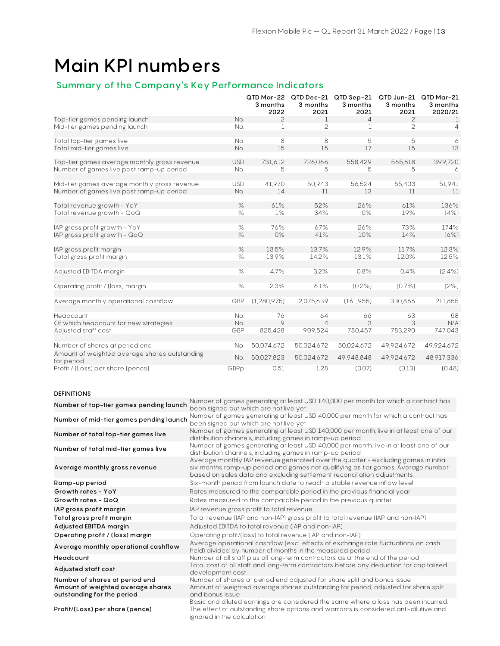# Main KPI numbers

# Summary of the Company's Key Performance Indicators

|                                                             |            | 3 months<br>2022 | 3 months<br>2021 | QTD Mar-22 QTD Dec-21 QTD Sep-21<br>3 months<br>2021 | 3 months<br>2021 | QTD Jun-21 QTD Mar-21<br>3 months<br>2020/21 |
|-------------------------------------------------------------|------------|------------------|------------------|------------------------------------------------------|------------------|----------------------------------------------|
| Top-tier games pending launch                               | No.        | 2                | 1                | 4                                                    | 2                | $\mathbf{1}$                                 |
| Mid-tier games pending launch                               | No.        | $\mathbf{1}$     | $\overline{c}$   | $\mathbf 1$                                          | $\overline{c}$   | 4                                            |
|                                                             |            |                  |                  |                                                      |                  |                                              |
| Total top-tier games live                                   | No.        | 8                | 8                | 5                                                    | 5                | 6                                            |
| Total mid-tier games live                                   | No.        | 15               | 15               | 17                                                   | 15               | 13                                           |
| Top-tier games average monthly gross revenue                | <b>USD</b> | 731,612          | 726,066          | 558,429                                              | 565,818          | 399,720                                      |
| Number of games live past ramp-up period                    | No.        | 5                | 5                | 5                                                    | 5                | 6                                            |
|                                                             |            |                  |                  |                                                      |                  |                                              |
| Mid-tier games average monthly gross revenue                | <b>USD</b> | 41,970           | 50,943           | 56,524                                               | 55,403           | 51,941                                       |
| Number of games live past ramp-up period                    | No.        | 14               | 11               | 13                                                   | 11               | 11                                           |
| Total revenue growth - YoY                                  | $\%$       | 61%              | 52%              | 26%                                                  | 61%              | 136%                                         |
| Total revenue growth - QoQ                                  | $\%$       | $1\%$            | 34%              | 0%                                                   | 19%              | (4%)                                         |
|                                                             |            |                  |                  |                                                      |                  |                                              |
| IAP gross profit growth - YoY                               | $\%$       | 76%              | 67%              | 26%                                                  | 73%              | 174%                                         |
| IAP gross profit growth - QoQ                               | $\%$       | 0%               | 41%              | 10%                                                  | 14%              | (6%)                                         |
|                                                             |            |                  |                  |                                                      |                  |                                              |
| IAP gross profit margin                                     | $\%$       | 13.5%            | 13.7%            | 12.9%                                                | 11.7%            | 12.3%                                        |
| Total gross profit margin                                   | $\%$       | 13.9%            | 14.2%            | 13.1%                                                | 12.0%            | 12.5%                                        |
|                                                             |            |                  |                  |                                                      |                  |                                              |
| Adjusted EBITDA margin                                      | $\%$       | 4.7%             | 3.2%             | 0.8%                                                 | 0.4%             | $(2.4\%)$                                    |
| Operating profit / (loss) margin                            | $\%$       | 2.3%             | 6.1%             | $(0.2\%)$                                            | (0.7%            | (2%)                                         |
|                                                             |            |                  |                  |                                                      |                  |                                              |
| Average monthly operational cashflow                        | GBP        | (1, 280, 975)    | 2,075,639        | (161,955)                                            | 330,866          | 211,855                                      |
|                                                             |            |                  |                  |                                                      |                  |                                              |
| Headcount                                                   | No.        | 76               | 64               | 66                                                   | 63               | 58                                           |
| Of which headcount for new strategies                       | No.        | $\circ$          | $\Delta$         | 3                                                    | 3                | N/A                                          |
| Adjusted staff cost                                         | GBP        | 825,428          | 909,524          | 780,457                                              | 783,290          | 747,043                                      |
|                                                             |            |                  |                  |                                                      |                  |                                              |
| Number of shares at period end                              | No.        | 50,074,672       | 50,024,672       | 50,024,672                                           | 49,924,672       | 49,924,672                                   |
| Amount of weighted average shares outstanding<br>for period | No.        | 50,027,823       | 50,024,672       | 49,948,848                                           | 49,924,672       | 48,917,336                                   |
| Profit / (Loss) per share (pence)                           | GBPp       | 0.51             | 1.28             | (0.07)                                               | (0.13)           | (0.48)                                       |

#### DEFINITIONS

| Number of top-tier games pending launch                         | Number of games generating at least USD 140,000 per month for which a contract has<br>been signed but which are not live yet                                                                                                                       |
|-----------------------------------------------------------------|----------------------------------------------------------------------------------------------------------------------------------------------------------------------------------------------------------------------------------------------------|
| Number of mid-tier games pending launch                         | Number of games generating at least USD 40,000 per month for which a contract has<br>been signed but which are not live yet                                                                                                                        |
| Number of total top-tier games live                             | Number of games generating at least USD 140,000 per month, live in at least one of our<br>distribution channels, including games in ramp-up period                                                                                                 |
| Number of total mid-tier games live                             | Number of games generating at least USD 40,000 per month, live in at least one of our<br>distribution channels, including games in ramp-up period                                                                                                  |
| Average monthly gross revenue                                   | Average monthly IAP revenue generated over the quarter - excluding games in initial<br>six months ramp-up period and games not qualifying as tier games. Average number<br>based on sales data and excluding settlement reconciliation adjustments |
| Ramp-up period                                                  | Six-month period from launch date to reach a stable revenue inflow level                                                                                                                                                                           |
| Growth rates - YoY                                              | Rates measured to the comparable period in the previous financial year                                                                                                                                                                             |
| Growth rates - QoQ                                              | Rates measured to the comparable period in the previous quarter                                                                                                                                                                                    |
| IAP gross profit margin                                         | IAP revenue gross profit to total revenue                                                                                                                                                                                                          |
| Total gross profit margin                                       | Total revenue (IAP and non-IAP) gross profit to total revenue (IAP and non-IAP)                                                                                                                                                                    |
| Adjusted EBITDA margin                                          | Adjusted EBITDA to total revenue (IAP and non-IAP)                                                                                                                                                                                                 |
| Operating profit / (loss) margin                                | Operating profit/(loss) to total revenue (IAP and non-IAP)                                                                                                                                                                                         |
| Average monthly operational cashflow                            | Average operational cashflow (excl. effects of exchange rate fluctuations on cash<br>held) divided by number of months in the measured period                                                                                                      |
| Headcount                                                       | Number of all staff plus all long-term contractors as at the end of the period                                                                                                                                                                     |
| Adjusted staff cost                                             | Total cost of all staff and long-term contractors before any deduction for capitalised<br>development cost                                                                                                                                         |
| Number of shares at period end                                  | Number of shares at period end adjusted for share split and bonus issue                                                                                                                                                                            |
| Amount of weighted average shares<br>outstanding for the period | Amount of weighted average shares outstanding for period, adjusted for share split<br>and bonus issue                                                                                                                                              |
| Profit/(Loss) per share (pence)                                 | Basic and diluted earnings are considered the same where a loss has been incurred.<br>The effect of outstanding share options and warrants is considered anti-dilutive and<br>ignored in the calculation                                           |